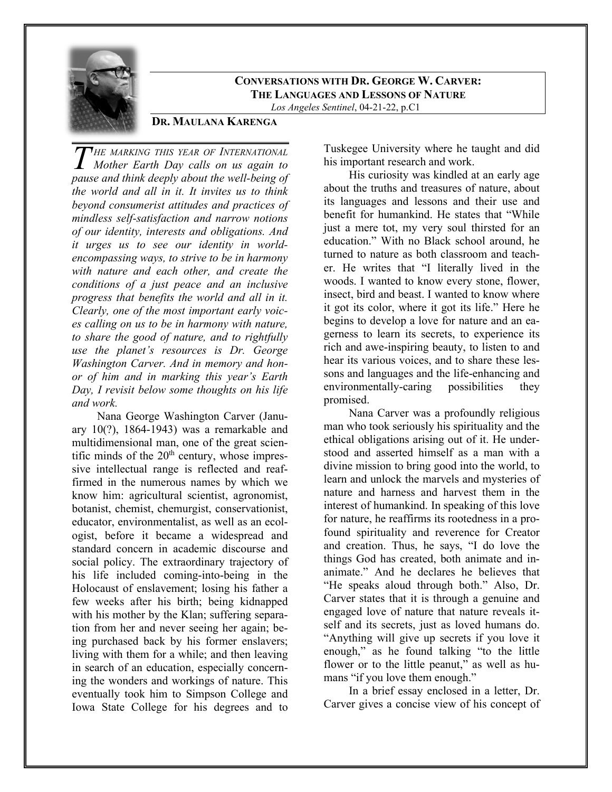

**CONVERSATIONS WITH DR. GEORGE W. CARVER: THE LANGUAGES AND LESSONS OF NATURE** *Los Angeles Sentinel*, 04-21-22, p.C1

## **DR. MAULANA KARENGA**

*HE MARKING THIS YEAR OF INTERNATIONAL Mother Earth Day calls on us again to PHE MARKING THIS YEAR OF INTERNATIONAL Mother Earth Day calls on us again to pause and think deeply about the well-being of the world and all in it. It invites us to think beyond consumerist attitudes and practices of mindless self-satisfaction and narrow notions of our identity, interests and obligations. And it urges us to see our identity in worldencompassing ways, to strive to be in harmony with nature and each other, and create the conditions of a just peace and an inclusive progress that benefits the world and all in it. Clearly, one of the most important early voices calling on us to be in harmony with nature, to share the good of nature, and to rightfully use the planet's resources is Dr. George Washington Carver. And in memory and honor of him and in marking this year's Earth Day, I revisit below some thoughts on his life and work.*

Nana George Washington Carver (January 10(?), 1864-1943) was a remarkable and multidimensional man, one of the great scientific minds of the  $20<sup>th</sup>$  century, whose impressive intellectual range is reflected and reaffirmed in the numerous names by which we know him: agricultural scientist, agronomist, botanist, chemist, chemurgist, conservationist, educator, environmentalist, as well as an ecologist, before it became a widespread and standard concern in academic discourse and social policy. The extraordinary trajectory of his life included coming-into-being in the Holocaust of enslavement; losing his father a few weeks after his birth; being kidnapped with his mother by the Klan; suffering separation from her and never seeing her again; being purchased back by his former enslavers; living with them for a while; and then leaving in search of an education, especially concerning the wonders and workings of nature. This eventually took him to Simpson College and Iowa State College for his degrees and to

Tuskegee University where he taught and did his important research and work.

His curiosity was kindled at an early age about the truths and treasures of nature, about its languages and lessons and their use and benefit for humankind. He states that "While just a mere tot, my very soul thirsted for an education." With no Black school around, he turned to nature as both classroom and teacher. He writes that "I literally lived in the woods. I wanted to know every stone, flower, insect, bird and beast. I wanted to know where it got its color, where it got its life." Here he begins to develop a love for nature and an eagerness to learn its secrets, to experience its rich and awe-inspiring beauty, to listen to and hear its various voices, and to share these lessons and languages and the life-enhancing and environmentally-caring possibilities they promised.

Nana Carver was a profoundly religious man who took seriously his spirituality and the ethical obligations arising out of it. He understood and asserted himself as a man with a divine mission to bring good into the world, to learn and unlock the marvels and mysteries of nature and harness and harvest them in the interest of humankind. In speaking of this love for nature, he reaffirms its rootedness in a profound spirituality and reverence for Creator and creation. Thus, he says, "I do love the things God has created, both animate and inanimate." And he declares he believes that "He speaks aloud through both." Also, Dr. Carver states that it is through a genuine and engaged love of nature that nature reveals itself and its secrets, just as loved humans do. "Anything will give up secrets if you love it enough," as he found talking "to the little flower or to the little peanut," as well as humans "if you love them enough."

In a brief essay enclosed in a letter, Dr. Carver gives a concise view of his concept of